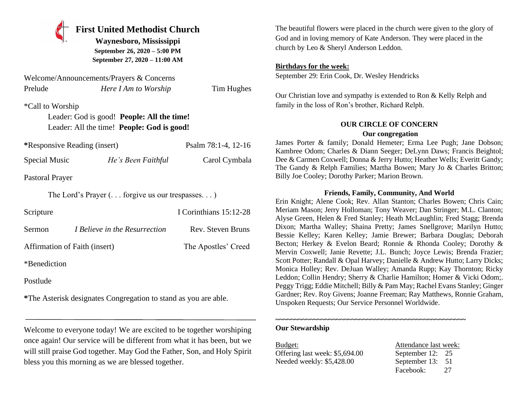

# **First United Methodist Church**

**Waynesboro, Mississippi September 26, 2020 – 5:00 PM September 27, 2020 – 11:00 AM**

|                  | Welcome/Announcements/Prayers & Concerns                               |            |
|------------------|------------------------------------------------------------------------|------------|
| Prelude          | Here I Am to Worship                                                   | Tim Hughes |
| *Call to Worship |                                                                        |            |
|                  | $\mathbf{r}$ in the state of $\mathbf{r}$ is the state of $\mathbf{r}$ |            |

Leader: God is good! **People: All the time!** Leader: All the time! **People: God is good!**

| *Responsive Reading (insert) | Psalm 78:1-4, 12-16 |
|------------------------------|---------------------|
|                              |                     |

Special Music *He's Been Faithful* Carol Cymbala

Pastoral Prayer

The Lord's Prayer (. . . forgive us our trespasses. . . )

| Scripture                     |                                      | I Corinthians 15:12-28 |
|-------------------------------|--------------------------------------|------------------------|
| <b>Sermon</b>                 | <i>I Believe in the Resurrection</i> | Rev. Steven Bruns      |
| Affirmation of Faith (insert) |                                      | The Apostles' Creed    |
| *Benediction                  |                                      |                        |

Postlude

**\***The Asterisk designates Congregation to stand as you are able.

Welcome to everyone today! We are excited to be together worshiping once again! Our service will be different from what it has been, but we will still praise God together. May God the Father, Son, and Holy Spirit bless you this morning as we are blessed together.

The beautiful flowers were placed in the church were given to the glory of God and in loving memory of Kate Anderson. They were placed in the church by Leo & Sheryl Anderson Leddon.

### **Birthdays for the week:**

September 29: Erin Cook, Dr. Wesley Hendricks

Our Christian love and sympathy is extended to Ron & Kelly Relph and family in the loss of Ron's brother, Richard Relph.

## **OUR CIRCLE OF CONCERN**

### **Our congregation**

James Porter & family; Donald Hemeter; Erma Lee Pugh; Jane Dobson; Kambree Odom; Charles & Diann Seeger; DeLynn Daws; Francis Beightol; Dee & Carmen Coxwell; Donna & Jerry Hutto; Heather Wells; Everitt Gandy; The Gandy & Relph Families; Martha Bowen; Mary Jo & Charles Britton; Billy Joe Cooley; Dorothy Parker; Marion Brown.

### **Friends, Family, Community, And World**

Erin Knight; Alene Cook; Rev. Allan Stanton; Charles Bowen; Chris Cain; Meriam Mason; Jerry Holloman; Tony Weaver; Dan Stringer; M.L. Clanton; Alyse Green, Helen & Fred Stanley; Heath McLaughlin; Fred Stagg; Brenda Dixon; Martha Walley; Shaina Pretty; James Snellgrove; Marilyn Hutto; Bessie Kelley; Karen Kelley; Jamie Brewer; Barbara Douglas; Deborah Becton; Herkey & Evelon Beard; Ronnie & Rhonda Cooley; Dorothy & Mervin Coxwell; Janie Revette; J.L. Bunch; Joyce Lewis; Brenda Frazier; Scott Potter; Randall & Opal Harvey; Danielle & Andrew Hutto; Larry Dicks; Monica Holley; Rev. DeJuan Walley; Amanda Rupp; Kay Thornton; Ricky Leddon; Collin Hendry; Sherry & Charlie Hamilton; Homer & Vicki Odom;. Peggy Trigg; Eddie Mitchell; Billy & Pam May; Rachel Evans Stanley; Ginger Gardner; Rev. Roy Givens; Joanne Freeman; Ray Matthews, Ronnie Graham, Unspoken Requests; Our Service Personnel Worldwide.

#### **~~~~~~~~~~~~~~~~~~~~~~~~~~~~~~~~~~~~~~~~~~~~~~~~~~ Our Stewardship**

Budget: Attendance last week: Offering last week: \$5,694.00 September 12: 25 Needed weekly: \$5,428.00 September 13: 51

Facebook: 27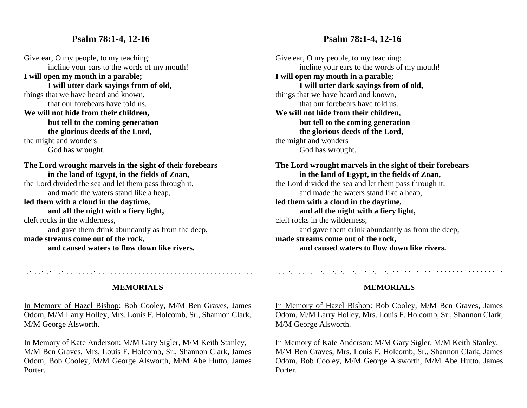### **Psalm 78:1-4, 12-16**

Give ear, O my people, to my teaching: incline your ears to the words of my mouth! **I will open my mouth in a parable; I will utter dark sayings from of old,** things that we have heard and known, that our forebears have told us. **We will not hide from their children, but tell to the coming generation the glorious deeds of the Lord,** the might and wonders God has wrought. **The Lord wrought marvels in the sight of their forebears in the land of Egypt, in the fields of Zoan,** the Lord divided the sea and let them pass through it, and made the waters stand like a heap, **led them with a cloud in the daytime, and all the night with a fiery light,** cleft rocks in the wilderness, and gave them drink abundantly as from the deep, **made streams come out of the rock,**

**and caused waters to flow down like rivers.**

### **Psalm 78:1-4, 12-16**

Give ear, O my people, to my teaching: incline your ears to the words of my mouth! **I will open my mouth in a parable; I will utter dark sayings from of old,** things that we have heard and known, that our forebears have told us. **We will not hide from their children, but tell to the coming generation the glorious deeds of the Lord,** the might and wonders God has wrought. **The Lord wrought marvels in the sight of their forebears in the land of Egypt, in the fields of Zoan,**

the Lord divided the sea and let them pass through it, and made the waters stand like a heap, **led them with a cloud in the daytime,**

**and all the night with a fiery light,** cleft rocks in the wilderness, and gave them drink abundantly as from the deep, **made streams come out of the rock, and caused waters to flow down like rivers.**

### **MEMORIALS**

, a concert a concert and a concert and a concert and a concert and a concert and a concert and a concert

In Memory of Hazel Bishop: Bob Cooley, M/M Ben Graves, James Odom, M/M Larry Holley, Mrs. Louis F. Holcomb, Sr., Shannon Clark, M/M George Alsworth.

In Memory of Kate Anderson: M/M Gary Sigler, M/M Keith Stanley, M/M Ben Graves, Mrs. Louis F. Holcomb, Sr., Shannon Clark, James Odom, Bob Cooley, M/M George Alsworth, M/M Abe Hutto, James Porter.

#### **MEMORIALS**

. A construction and a construction of the construction of the construction of the construction of the construction

In Memory of Hazel Bishop: Bob Cooley, M/M Ben Graves, James Odom, M/M Larry Holley, Mrs. Louis F. Holcomb, Sr., Shannon Clark, M/M George Alsworth.

In Memory of Kate Anderson: M/M Gary Sigler, M/M Keith Stanley, M/M Ben Graves, Mrs. Louis F. Holcomb, Sr., Shannon Clark, James Odom, Bob Cooley, M/M George Alsworth, M/M Abe Hutto, James Porter.